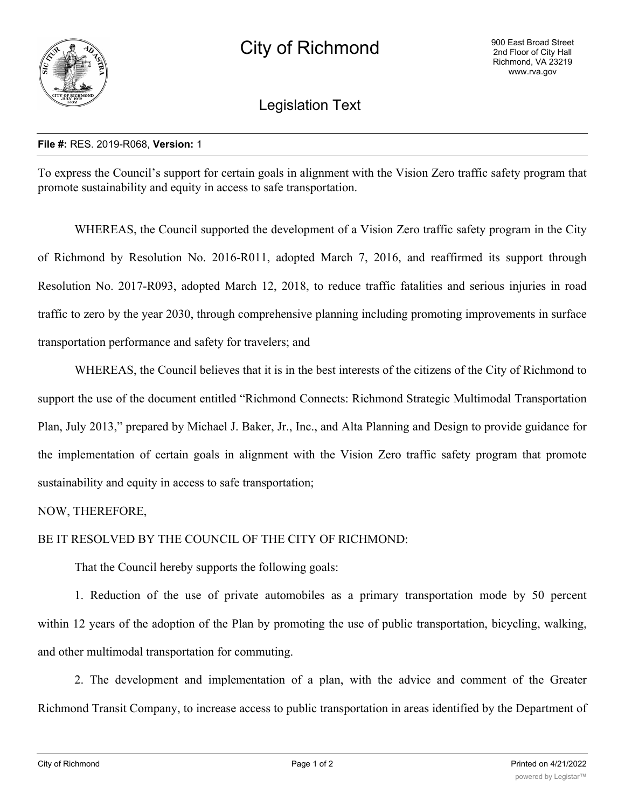

Legislation Text

## **File #:** RES. 2019-R068, **Version:** 1

To express the Council's support for certain goals in alignment with the Vision Zero traffic safety program that promote sustainability and equity in access to safe transportation.

WHEREAS, the Council supported the development of a Vision Zero traffic safety program in the City of Richmond by Resolution No. 2016-R011, adopted March 7, 2016, and reaffirmed its support through Resolution No. 2017-R093, adopted March 12, 2018, to reduce traffic fatalities and serious injuries in road traffic to zero by the year 2030, through comprehensive planning including promoting improvements in surface transportation performance and safety for travelers; and

WHEREAS, the Council believes that it is in the best interests of the citizens of the City of Richmond to support the use of the document entitled "Richmond Connects: Richmond Strategic Multimodal Transportation Plan, July 2013," prepared by Michael J. Baker, Jr., Inc., and Alta Planning and Design to provide guidance for the implementation of certain goals in alignment with the Vision Zero traffic safety program that promote sustainability and equity in access to safe transportation;

NOW, THEREFORE,

BE IT RESOLVED BY THE COUNCIL OF THE CITY OF RICHMOND:

That the Council hereby supports the following goals:

1. Reduction of the use of private automobiles as a primary transportation mode by 50 percent within 12 years of the adoption of the Plan by promoting the use of public transportation, bicycling, walking, and other multimodal transportation for commuting.

2. The development and implementation of a plan, with the advice and comment of the Greater Richmond Transit Company, to increase access to public transportation in areas identified by the Department of